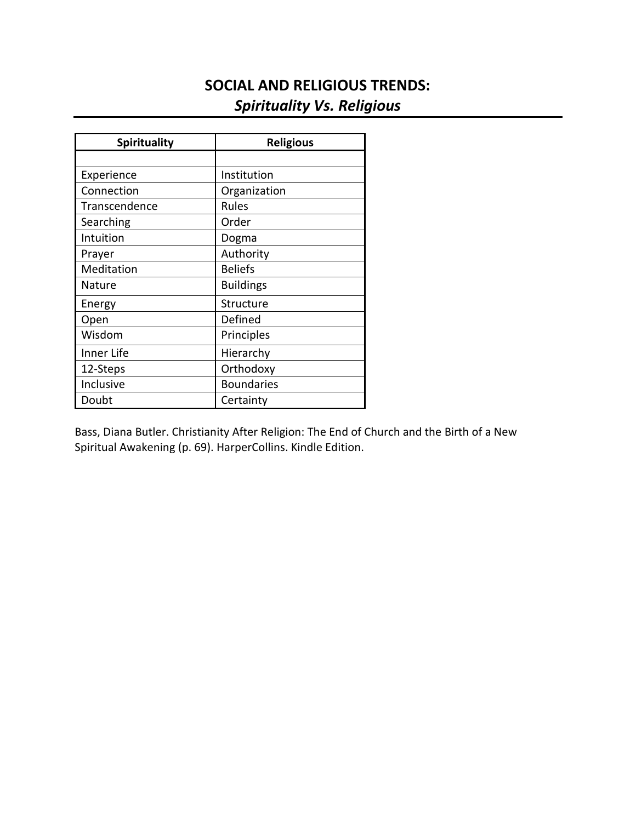# **SOCIAL AND RELIGIOUS TRENDS:** *Spirituality Vs. Religious*

| <b>Spirituality</b> | <b>Religious</b>  |
|---------------------|-------------------|
|                     |                   |
| Experience          | Institution       |
| Connection          | Organization      |
| Transcendence       | Rules             |
| Searching           | Order             |
| Intuition           | Dogma             |
| Prayer              | Authority         |
| Meditation          | <b>Beliefs</b>    |
| Nature              | <b>Buildings</b>  |
| Energy              | Structure         |
| Open                | Defined           |
| Wisdom              | Principles        |
| Inner Life          | Hierarchy         |
| 12-Steps            | Orthodoxy         |
| Inclusive           | <b>Boundaries</b> |
| Doubt               | Certainty         |

Bass, Diana Butler. Christianity After Religion: The End of Church and the Birth of a New Spiritual Awakening (p. 69). HarperCollins. Kindle Edition.